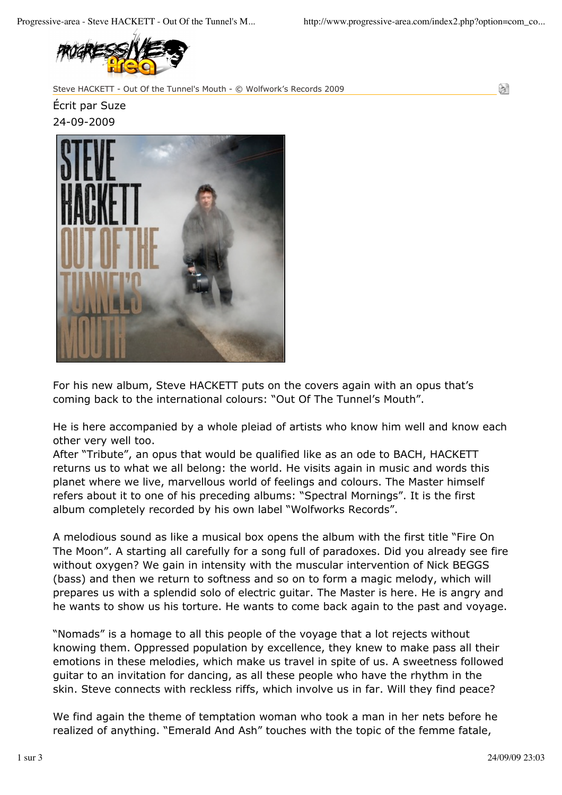

Steve HACKETT - Out Of the Tunnel's Mouth - © Wolfwork's Records 2009

G)

Écrit par Suze 24-09-2009



For his new album, Steve HACKETT puts on the covers again with an opus that's coming back to the international colours: "Out Of The Tunnel's Mouth".

He is here accompanied by a whole pleiad of artists who know him well and know each other very well too.

After "Tribute", an opus that would be qualified like as an ode to BACH, HACKETT returns us to what we all belong: the world. He visits again in music and words this planet where we live, marvellous world of feelings and colours. The Master himself refers about it to one of his preceding albums: "Spectral Mornings". It is the first album completely recorded by his own label "Wolfworks Records".

A melodious sound as like a musical box opens the album with the first title "Fire On The Moon". A starting all carefully for a song full of paradoxes. Did you already see fire without oxygen? We gain in intensity with the muscular intervention of Nick BEGGS (bass) and then we return to softness and so on to form a magic melody, which will prepares us with a splendid solo of electric guitar. The Master is here. He is angry and he wants to show us his torture. He wants to come back again to the past and voyage.

"Nomads" is a homage to all this people of the voyage that a lot rejects without knowing them. Oppressed population by excellence, they knew to make pass all their emotions in these melodies, which make us travel in spite of us. A sweetness followed guitar to an invitation for dancing, as all these people who have the rhythm in the skin. Steve connects with reckless riffs, which involve us in far. Will they find peace?

We find again the theme of temptation woman who took a man in her nets before he realized of anything. "Emerald And Ash" touches with the topic of the femme fatale,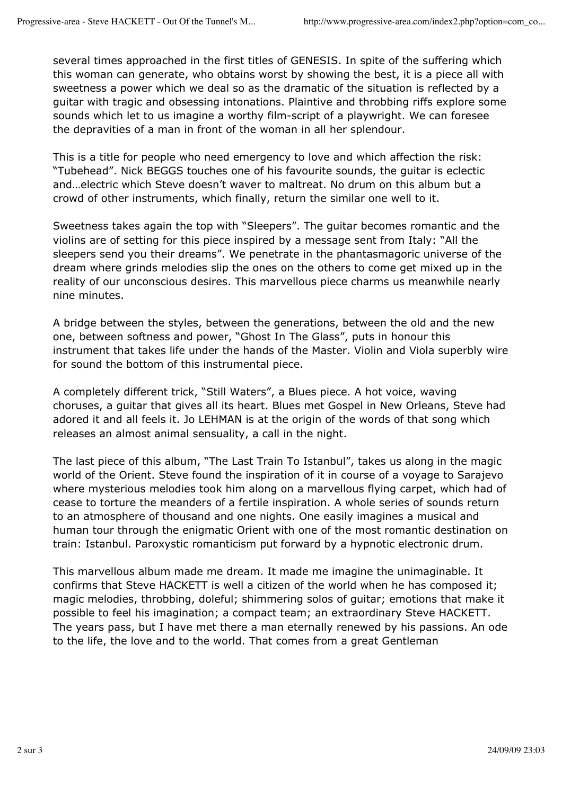several times approached in the first titles of GENESIS. In spite of the suffering which this woman can generate, who obtains worst by showing the best, it is a piece all with sweetness a power which we deal so as the dramatic of the situation is reflected by a guitar with tragic and obsessing intonations. Plaintive and throbbing riffs explore some sounds which let to us imagine a worthy film-script of a playwright. We can foresee the depravities of a man in front of the woman in all her splendour.

This is a title for people who need emergency to love and which affection the risk: "Tubehead". Nick BEGGS touches one of his favourite sounds, the guitar is eclectic and…electric which Steve doesn't waver to maltreat. No drum on this album but a crowd of other instruments, which finally, return the similar one well to it.

Sweetness takes again the top with "Sleepers". The guitar becomes romantic and the violins are of setting for this piece inspired by a message sent from Italy: "All the sleepers send you their dreams". We penetrate in the phantasmagoric universe of the dream where grinds melodies slip the ones on the others to come get mixed up in the reality of our unconscious desires. This marvellous piece charms us meanwhile nearly nine minutes.

A bridge between the styles, between the generations, between the old and the new one, between softness and power, "Ghost In The Glass", puts in honour this instrument that takes life under the hands of the Master. Violin and Viola superbly wire for sound the bottom of this instrumental piece.

A completely different trick, "Still Waters", a Blues piece. A hot voice, waving choruses, a guitar that gives all its heart. Blues met Gospel in New Orleans, Steve had adored it and all feels it. Jo LEHMAN is at the origin of the words of that song which releases an almost animal sensuality, a call in the night.

The last piece of this album, "The Last Train To Istanbul", takes us along in the magic world of the Orient. Steve found the inspiration of it in course of a voyage to Sarajevo where mysterious melodies took him along on a marvellous flying carpet, which had of cease to torture the meanders of a fertile inspiration. A whole series of sounds return to an atmosphere of thousand and one nights. One easily imagines a musical and human tour through the enigmatic Orient with one of the most romantic destination on train: Istanbul. Paroxystic romanticism put forward by a hypnotic electronic drum.

This marvellous album made me dream. It made me imagine the unimaginable. It confirms that Steve HACKETT is well a citizen of the world when he has composed it; magic melodies, throbbing, doleful; shimmering solos of guitar; emotions that make it possible to feel his imagination; a compact team; an extraordinary Steve HACKETT. The years pass, but I have met there a man eternally renewed by his passions. An ode to the life, the love and to the world. That comes from a great Gentleman